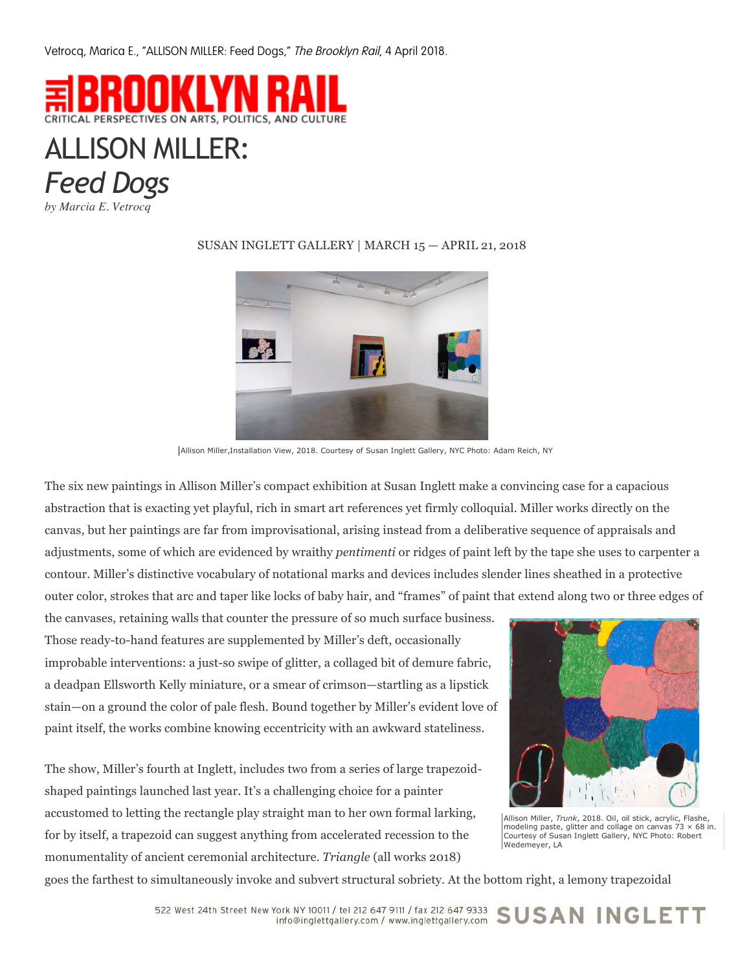Vetrocq, Marica E., "ALLISON MILLER: Feed Dogs," The Brooklyn Rail, 4 April 2018.



## ALLISON MILLER: *Feed Dogs*

*by Marcia E. Vetrocq*



## SUSAN INGLETT GALLERY | MARCH 15 — APRIL 21, 2018

Allison Miller,Installation View, 2018. Courtesy of Susan Inglett Gallery, NYC Photo: Adam Reich, NY

The six new paintings in Allison Miller's compact exhibition at Susan Inglett make a convincing case for a capacious abstraction that is exacting yet playful, rich in smart art references yet firmly colloquial. Miller works directly on the canvas, but her paintings are far from improvisational, arising instead from a deliberative sequence of appraisals and adjustments, some of which are evidenced by wraithy *pentimenti* or ridges of paint left by the tape she uses to carpenter a contour. Miller's distinctive vocabulary of notational marks and devices includes slender lines sheathed in a protective outer color, strokes that arc and taper like locks of baby hair, and "frames" of paint that extend along two or three edges of

the canvases, retaining walls that counter the pressure of so much surface business. Those ready-to-hand features are supplemented by Miller's deft, occasionally improbable interventions: a just-so swipe of glitter, a collaged bit of demure fabric, a deadpan Ellsworth Kelly miniature, or a smear of crimson—startling as a lipstick stain—on a ground the color of pale flesh. Bound together by Miller's evident love of paint itself, the works combine knowing eccentricity with an awkward stateliness.

The show, Miller's fourth at Inglett, includes two from a series of large trapezoidshaped paintings launched last year. It's a challenging choice for a painter accustomed to letting the rectangle play straight man to her own formal larking, for by itself, a trapezoid can suggest anything from accelerated recession to the monumentality of ancient ceremonial architecture. *Triangle* (all works 2018)



Allison Miller, *Trunk*, 2018. Oil, oil stick, acrylic, Flashe, modeling paste, glitter and collage on canvas  $73 \times 68$  in. Courtesy of Susan Inglett Gallery, NYC Photo: Robert Wedemeyer, LA

goes the farthest to simultaneously invoke and subvert structural sobriety. At the bottom right, a lemony trapezoidal